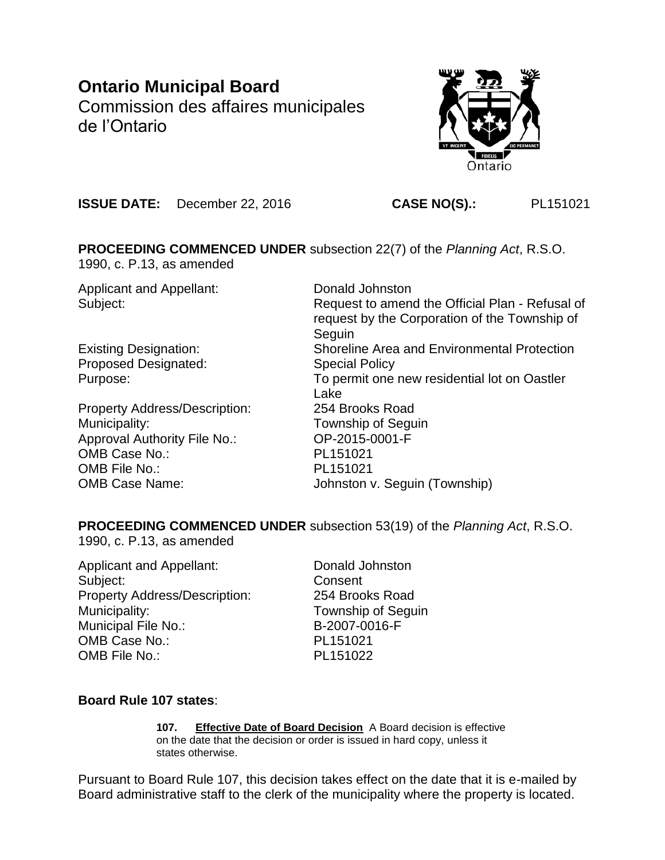# **Ontario Municipal Board**

Commission des affaires municipales de l'Ontario



**ISSUE DATE:** December 22, 2016 **CASE NO(S).:** PL151021

### **PROCEEDING COMMENCED UNDER** subsection 22(7) of the *Planning Act*, R.S.O. 1990, c. P.13, as amended

Applicant and Appellant: Donald Johnston

Proposed Designated: Special Policy

Property Address/Description: 254 Brooks Road Municipality: Municipality: Township of Seguin Approval Authority File No.: OP-2015-0001-F OMB Case No.: PL151021 OMB File No.: PL151021

Subject: Subject: Request to amend the Official Plan - Refusal of request by the Corporation of the Township of **Seguin** Existing Designation: Shoreline Area and Environmental Protection Purpose: To permit one new residential lot on Oastler Lake OMB Case Name: Johnston v. Seguin (Township)

# **PROCEEDING COMMENCED UNDER** subsection 53(19) of the *Planning Act*, R.S.O.

1990, c. P.13, as amended

Applicant and Appellant: Donald Johnston Subject: Consent Property Address/Description: 254 Brooks Road Municipality: Municipality: Township of Seguin Municipal File No.: B-2007-0016-F OMB Case No.: PL151021 OMB File No.: PL151022

# **Board Rule 107 states**:

**107. Effective Date of Board Decision** A Board decision is effective on the date that the decision or order is issued in hard copy, unless it states otherwise.

Pursuant to Board Rule 107, this decision takes effect on the date that it is e-mailed by Board administrative staff to the clerk of the municipality where the property is located.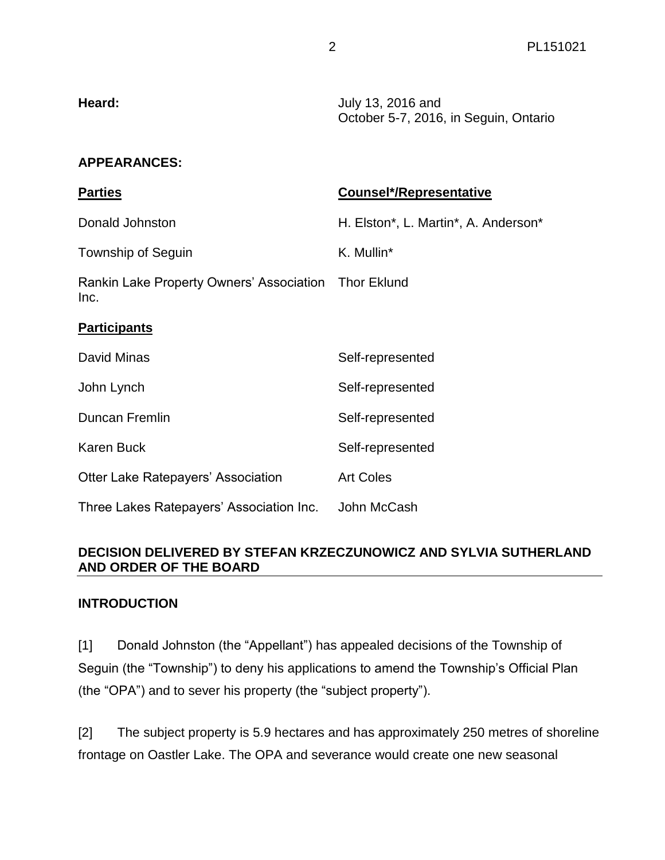| Heard: | July 13, 2016 and                     |
|--------|---------------------------------------|
|        | October 5-7, 2016, in Seguin, Ontario |

### **APPEARANCES:**

| <b>Parties</b>                                               | <b>Counsel*/Representative</b>       |
|--------------------------------------------------------------|--------------------------------------|
| Donald Johnston                                              | H. Elston*, L. Martin*, A. Anderson* |
| Township of Seguin                                           | K. Mullin*                           |
| Rankin Lake Property Owners' Association Thor Eklund<br>Inc. |                                      |
| <b>Participants</b>                                          |                                      |
| David Minas                                                  | Self-represented                     |
| John Lynch                                                   | Self-represented                     |
| Duncan Fremlin                                               | Self-represented                     |
| <b>Karen Buck</b>                                            | Self-represented                     |
| Otter Lake Ratepayers' Association                           | <b>Art Coles</b>                     |
| Three Lakes Ratepayers' Association Inc.                     | John McCash                          |

### **DECISION DELIVERED BY STEFAN KRZECZUNOWICZ AND SYLVIA SUTHERLAND AND ORDER OF THE BOARD**

### **INTRODUCTION**

[1] Donald Johnston (the "Appellant") has appealed decisions of the Township of Seguin (the "Township") to deny his applications to amend the Township's Official Plan (the "OPA") and to sever his property (the "subject property").

[2] The subject property is 5.9 hectares and has approximately 250 metres of shoreline frontage on Oastler Lake. The OPA and severance would create one new seasonal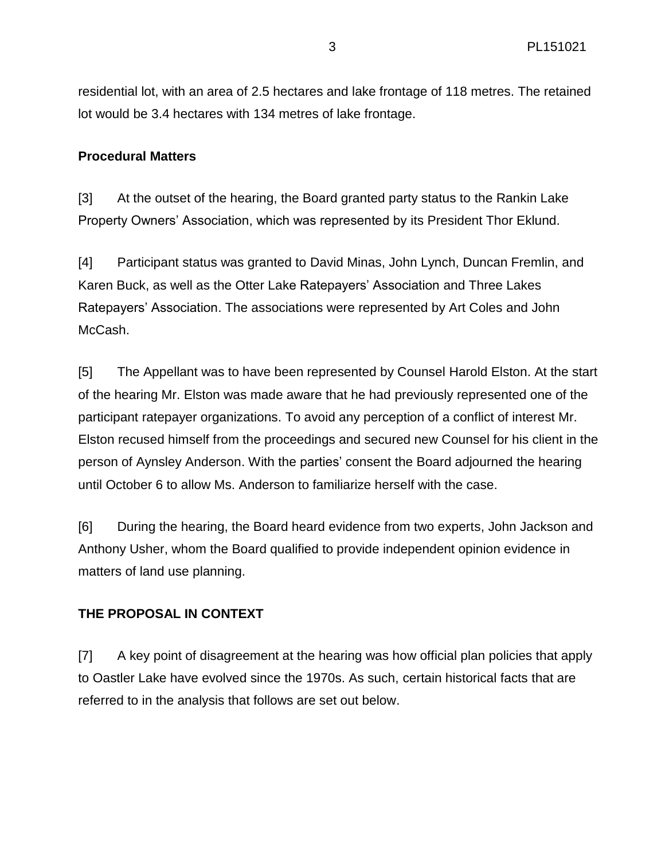residential lot, with an area of 2.5 hectares and lake frontage of 118 metres. The retained lot would be 3.4 hectares with 134 metres of lake frontage.

### **Procedural Matters**

[3] At the outset of the hearing, the Board granted party status to the Rankin Lake Property Owners' Association, which was represented by its President Thor Eklund.

[4] Participant status was granted to David Minas, John Lynch, Duncan Fremlin, and Karen Buck, as well as the Otter Lake Ratepayers' Association and Three Lakes Ratepayers' Association. The associations were represented by Art Coles and John McCash.

[5] The Appellant was to have been represented by Counsel Harold Elston. At the start of the hearing Mr. Elston was made aware that he had previously represented one of the participant ratepayer organizations. To avoid any perception of a conflict of interest Mr. Elston recused himself from the proceedings and secured new Counsel for his client in the person of Aynsley Anderson. With the parties' consent the Board adjourned the hearing until October 6 to allow Ms. Anderson to familiarize herself with the case.

[6] During the hearing, the Board heard evidence from two experts, John Jackson and Anthony Usher, whom the Board qualified to provide independent opinion evidence in matters of land use planning.

# **THE PROPOSAL IN CONTEXT**

[7] A key point of disagreement at the hearing was how official plan policies that apply to Oastler Lake have evolved since the 1970s. As such, certain historical facts that are referred to in the analysis that follows are set out below.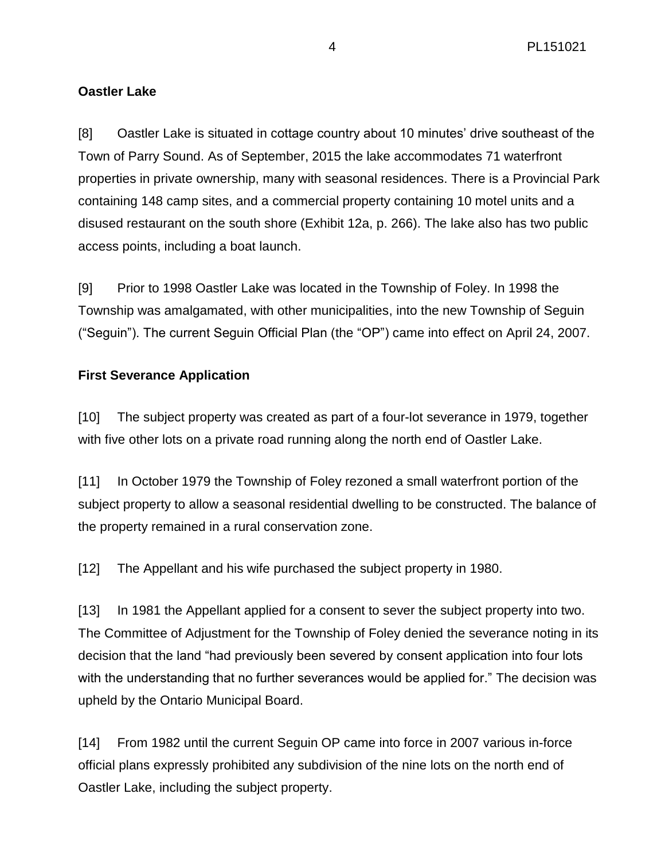# **Oastler Lake**

[8] Oastler Lake is situated in cottage country about 10 minutes' drive southeast of the Town of Parry Sound. As of September, 2015 the lake accommodates 71 waterfront properties in private ownership, many with seasonal residences. There is a Provincial Park containing 148 camp sites, and a commercial property containing 10 motel units and a disused restaurant on the south shore (Exhibit 12a, p. 266). The lake also has two public access points, including a boat launch.

[9] Prior to 1998 Oastler Lake was located in the Township of Foley. In 1998 the Township was amalgamated, with other municipalities, into the new Township of Seguin ("Seguin"). The current Seguin Official Plan (the "OP") came into effect on April 24, 2007.

# **First Severance Application**

[10] The subject property was created as part of a four-lot severance in 1979, together with five other lots on a private road running along the north end of Oastler Lake.

[11] In October 1979 the Township of Foley rezoned a small waterfront portion of the subject property to allow a seasonal residential dwelling to be constructed. The balance of the property remained in a rural conservation zone.

[12] The Appellant and his wife purchased the subject property in 1980.

[13] In 1981 the Appellant applied for a consent to sever the subject property into two. The Committee of Adjustment for the Township of Foley denied the severance noting in its decision that the land "had previously been severed by consent application into four lots with the understanding that no further severances would be applied for." The decision was upheld by the Ontario Municipal Board.

[14] From 1982 until the current Seguin OP came into force in 2007 various in-force official plans expressly prohibited any subdivision of the nine lots on the north end of Oastler Lake, including the subject property.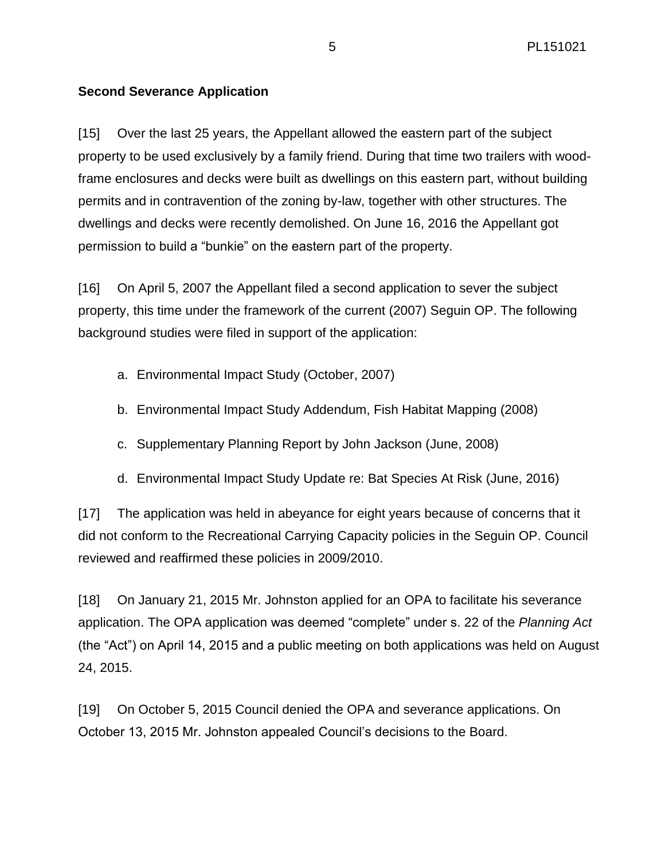### **Second Severance Application**

[15] Over the last 25 years, the Appellant allowed the eastern part of the subject property to be used exclusively by a family friend. During that time two trailers with woodframe enclosures and decks were built as dwellings on this eastern part, without building permits and in contravention of the zoning by-law, together with other structures. The dwellings and decks were recently demolished. On June 16, 2016 the Appellant got permission to build a "bunkie" on the eastern part of the property.

[16] On April 5, 2007 the Appellant filed a second application to sever the subject property, this time under the framework of the current (2007) Seguin OP. The following background studies were filed in support of the application:

- a. Environmental Impact Study (October, 2007)
- b. Environmental Impact Study Addendum, Fish Habitat Mapping (2008)
- c. Supplementary Planning Report by John Jackson (June, 2008)
- d. Environmental Impact Study Update re: Bat Species At Risk (June, 2016)

[17] The application was held in abeyance for eight years because of concerns that it did not conform to the Recreational Carrying Capacity policies in the Seguin OP. Council reviewed and reaffirmed these policies in 2009/2010.

[18] On January 21, 2015 Mr. Johnston applied for an OPA to facilitate his severance application. The OPA application was deemed "complete" under s. 22 of the *Planning Act* (the "Act") on April 14, 2015 and a public meeting on both applications was held on August 24, 2015.

[19] On October 5, 2015 Council denied the OPA and severance applications. On October 13, 2015 Mr. Johnston appealed Council's decisions to the Board.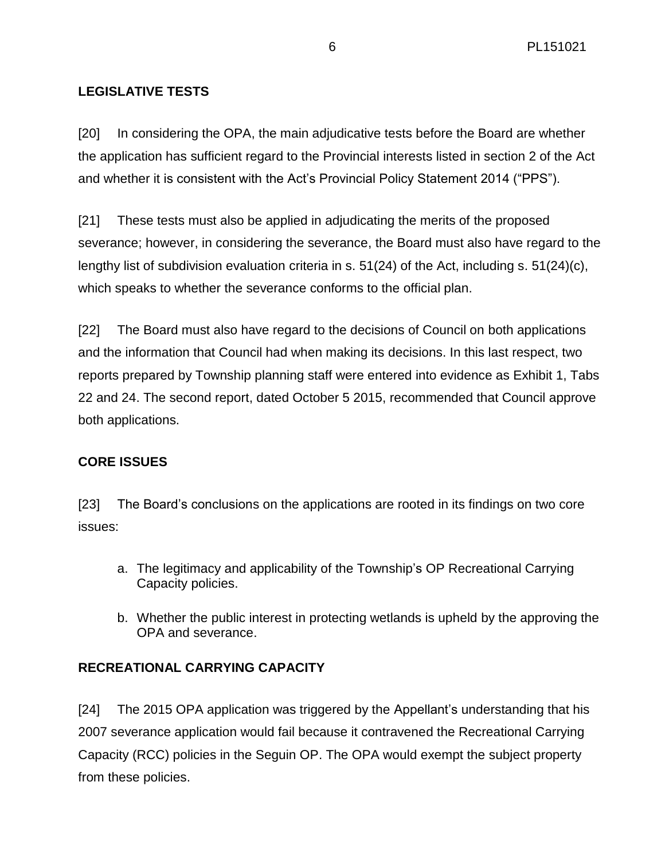# **LEGISLATIVE TESTS**

[20] In considering the OPA, the main adjudicative tests before the Board are whether the application has sufficient regard to the Provincial interests listed in section 2 of the Act and whether it is consistent with the Act's Provincial Policy Statement 2014 ("PPS").

[21] These tests must also be applied in adjudicating the merits of the proposed severance; however, in considering the severance, the Board must also have regard to the lengthy list of subdivision evaluation criteria in s. 51(24) of the Act, including s. 51(24)(c), which speaks to whether the severance conforms to the official plan.

[22] The Board must also have regard to the decisions of Council on both applications and the information that Council had when making its decisions. In this last respect, two reports prepared by Township planning staff were entered into evidence as Exhibit 1, Tabs 22 and 24. The second report, dated October 5 2015, recommended that Council approve both applications.

# **CORE ISSUES**

[23] The Board's conclusions on the applications are rooted in its findings on two core issues:

- a. The legitimacy and applicability of the Township's OP Recreational Carrying Capacity policies.
- b. Whether the public interest in protecting wetlands is upheld by the approving the OPA and severance.

# **RECREATIONAL CARRYING CAPACITY**

[24] The 2015 OPA application was triggered by the Appellant's understanding that his 2007 severance application would fail because it contravened the Recreational Carrying Capacity (RCC) policies in the Seguin OP. The OPA would exempt the subject property from these policies.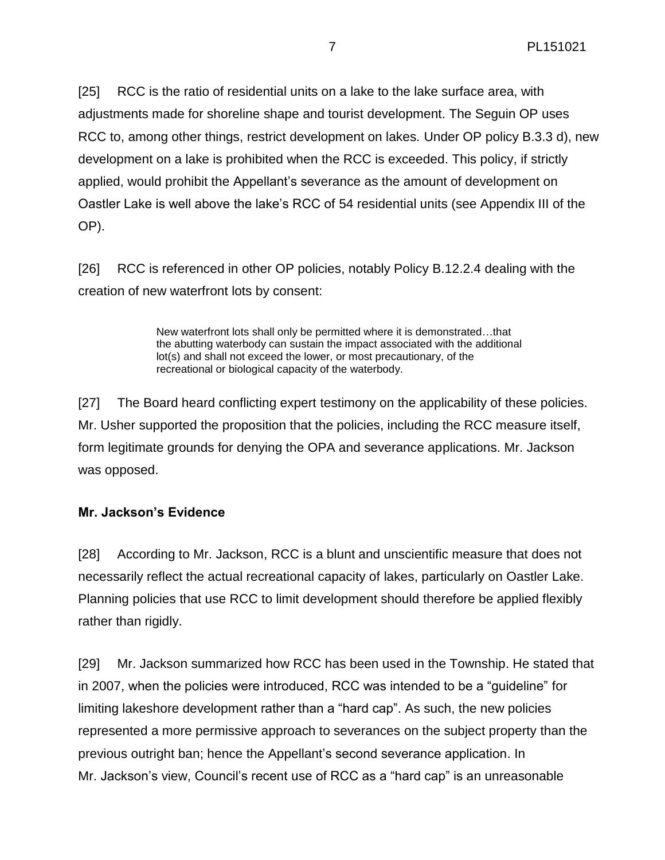[25] RCC is the ratio of residential units on a lake to the lake surface area, with adjustments made for shoreline shape and tourist development. The Seguin OP uses RCC to, among other things, restrict development on lakes. Under OP policy B.3.3 d), new development on a lake is prohibited when the RCC is exceeded. This policy, if strictly applied, would prohibit the Appellant's severance as the amount of development on Oastler Lake is well above the lake's RCC of 54 residential units (see Appendix III of the OP).

[26] RCC is referenced in other OP policies, notably Policy B.12.2.4 dealing with the creation of new waterfront lots by consent:

> New waterfront lots shall only be permitted where it is demonstrated…that the abutting waterbody can sustain the impact associated with the additional lot(s) and shall not exceed the lower, or most precautionary, of the recreational or biological capacity of the waterbody.

[27] The Board heard conflicting expert testimony on the applicability of these policies. Mr. Usher supported the proposition that the policies, including the RCC measure itself, form legitimate grounds for denying the OPA and severance applications. Mr. Jackson was opposed.

# **Mr. Jackson's Evidence**

[28] According to Mr. Jackson, RCC is a blunt and unscientific measure that does not necessarily reflect the actual recreational capacity of lakes, particularly on Oastler Lake. Planning policies that use RCC to limit development should therefore be applied flexibly rather than rigidly.

[29] Mr. Jackson summarized how RCC has been used in the Township. He stated that in 2007, when the policies were introduced, RCC was intended to be a "guideline" for limiting lakeshore development rather than a "hard cap". As such, the new policies represented a more permissive approach to severances on the subject property than the previous outright ban; hence the Appellant's second severance application. In Mr. Jackson's view, Council's recent use of RCC as a "hard cap" is an unreasonable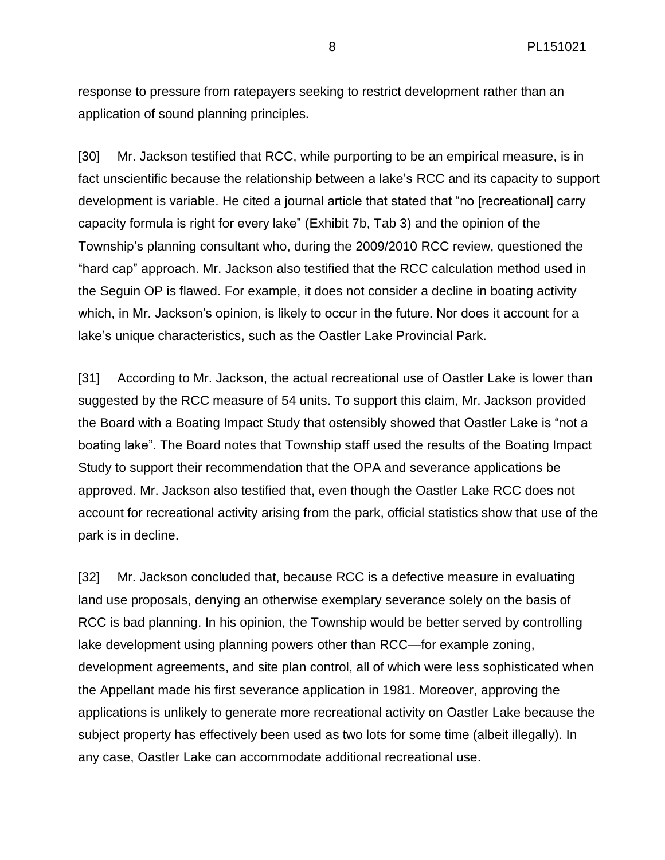response to pressure from ratepayers seeking to restrict development rather than an application of sound planning principles.

[30] Mr. Jackson testified that RCC, while purporting to be an empirical measure, is in fact unscientific because the relationship between a lake's RCC and its capacity to support development is variable. He cited a journal article that stated that "no [recreational] carry capacity formula is right for every lake" (Exhibit 7b, Tab 3) and the opinion of the Township's planning consultant who, during the 2009/2010 RCC review, questioned the "hard cap" approach. Mr. Jackson also testified that the RCC calculation method used in the Seguin OP is flawed. For example, it does not consider a decline in boating activity which, in Mr. Jackson's opinion, is likely to occur in the future. Nor does it account for a lake's unique characteristics, such as the Oastler Lake Provincial Park.

[31] According to Mr. Jackson, the actual recreational use of Oastler Lake is lower than suggested by the RCC measure of 54 units. To support this claim, Mr. Jackson provided the Board with a Boating Impact Study that ostensibly showed that Oastler Lake is "not a boating lake". The Board notes that Township staff used the results of the Boating Impact Study to support their recommendation that the OPA and severance applications be approved. Mr. Jackson also testified that, even though the Oastler Lake RCC does not account for recreational activity arising from the park, official statistics show that use of the park is in decline.

[32] Mr. Jackson concluded that, because RCC is a defective measure in evaluating land use proposals, denying an otherwise exemplary severance solely on the basis of RCC is bad planning. In his opinion, the Township would be better served by controlling lake development using planning powers other than RCC—for example zoning, development agreements, and site plan control, all of which were less sophisticated when the Appellant made his first severance application in 1981. Moreover, approving the applications is unlikely to generate more recreational activity on Oastler Lake because the subject property has effectively been used as two lots for some time (albeit illegally). In any case, Oastler Lake can accommodate additional recreational use.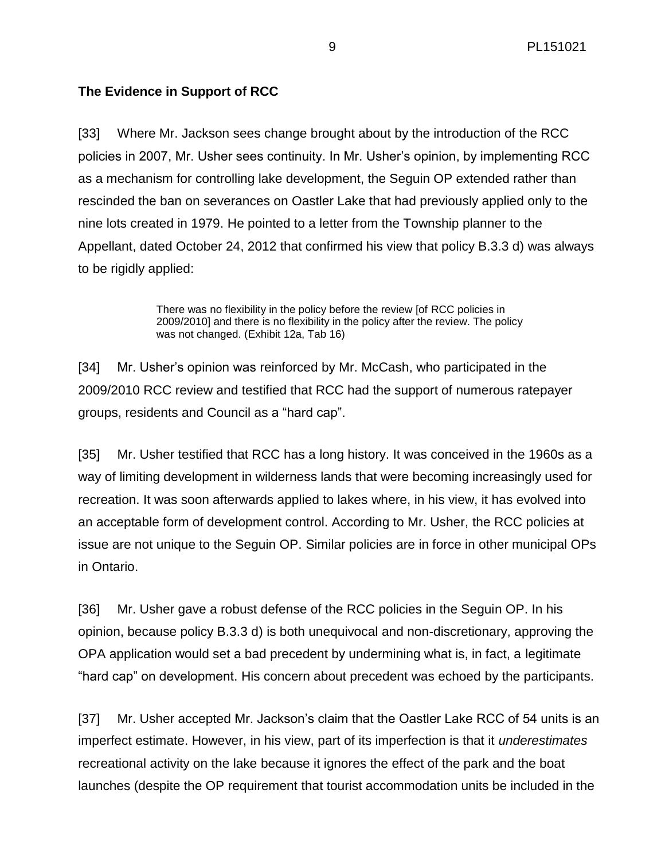# **The Evidence in Support of RCC**

[33] Where Mr. Jackson sees change brought about by the introduction of the RCC policies in 2007, Mr. Usher sees continuity. In Mr. Usher's opinion, by implementing RCC as a mechanism for controlling lake development, the Seguin OP extended rather than rescinded the ban on severances on Oastler Lake that had previously applied only to the nine lots created in 1979. He pointed to a letter from the Township planner to the Appellant, dated October 24, 2012 that confirmed his view that policy B.3.3 d) was always to be rigidly applied:

> There was no flexibility in the policy before the review [of RCC policies in 2009/2010] and there is no flexibility in the policy after the review. The policy was not changed. (Exhibit 12a, Tab 16)

[34] Mr. Usher's opinion was reinforced by Mr. McCash, who participated in the 2009/2010 RCC review and testified that RCC had the support of numerous ratepayer groups, residents and Council as a "hard cap".

[35] Mr. Usher testified that RCC has a long history. It was conceived in the 1960s as a way of limiting development in wilderness lands that were becoming increasingly used for recreation. It was soon afterwards applied to lakes where, in his view, it has evolved into an acceptable form of development control. According to Mr. Usher, the RCC policies at issue are not unique to the Seguin OP. Similar policies are in force in other municipal OPs in Ontario.

[36] Mr. Usher gave a robust defense of the RCC policies in the Seguin OP. In his opinion, because policy B.3.3 d) is both unequivocal and non-discretionary, approving the OPA application would set a bad precedent by undermining what is, in fact, a legitimate "hard cap" on development. His concern about precedent was echoed by the participants.

[37] Mr. Usher accepted Mr. Jackson's claim that the Oastler Lake RCC of 54 units is an imperfect estimate. However, in his view, part of its imperfection is that it *underestimates* recreational activity on the lake because it ignores the effect of the park and the boat launches (despite the OP requirement that tourist accommodation units be included in the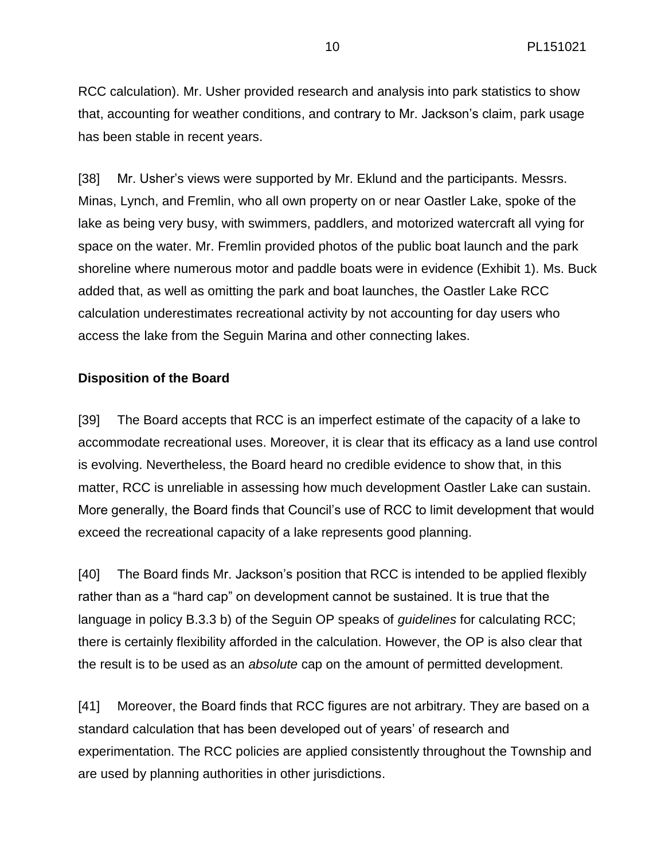RCC calculation). Mr. Usher provided research and analysis into park statistics to show that, accounting for weather conditions, and contrary to Mr. Jackson's claim, park usage has been stable in recent years.

[38] Mr. Usher's views were supported by Mr. Eklund and the participants. Messrs. Minas, Lynch, and Fremlin, who all own property on or near Oastler Lake, spoke of the lake as being very busy, with swimmers, paddlers, and motorized watercraft all vying for space on the water. Mr. Fremlin provided photos of the public boat launch and the park shoreline where numerous motor and paddle boats were in evidence (Exhibit 1). Ms. Buck added that, as well as omitting the park and boat launches, the Oastler Lake RCC calculation underestimates recreational activity by not accounting for day users who access the lake from the Seguin Marina and other connecting lakes.

### **Disposition of the Board**

[39] The Board accepts that RCC is an imperfect estimate of the capacity of a lake to accommodate recreational uses. Moreover, it is clear that its efficacy as a land use control is evolving. Nevertheless, the Board heard no credible evidence to show that, in this matter, RCC is unreliable in assessing how much development Oastler Lake can sustain. More generally, the Board finds that Council's use of RCC to limit development that would exceed the recreational capacity of a lake represents good planning.

[40] The Board finds Mr. Jackson's position that RCC is intended to be applied flexibly rather than as a "hard cap" on development cannot be sustained. It is true that the language in policy B.3.3 b) of the Seguin OP speaks of *guidelines* for calculating RCC; there is certainly flexibility afforded in the calculation. However, the OP is also clear that the result is to be used as an *absolute* cap on the amount of permitted development.

[41] Moreover, the Board finds that RCC figures are not arbitrary. They are based on a standard calculation that has been developed out of years' of research and experimentation. The RCC policies are applied consistently throughout the Township and are used by planning authorities in other jurisdictions.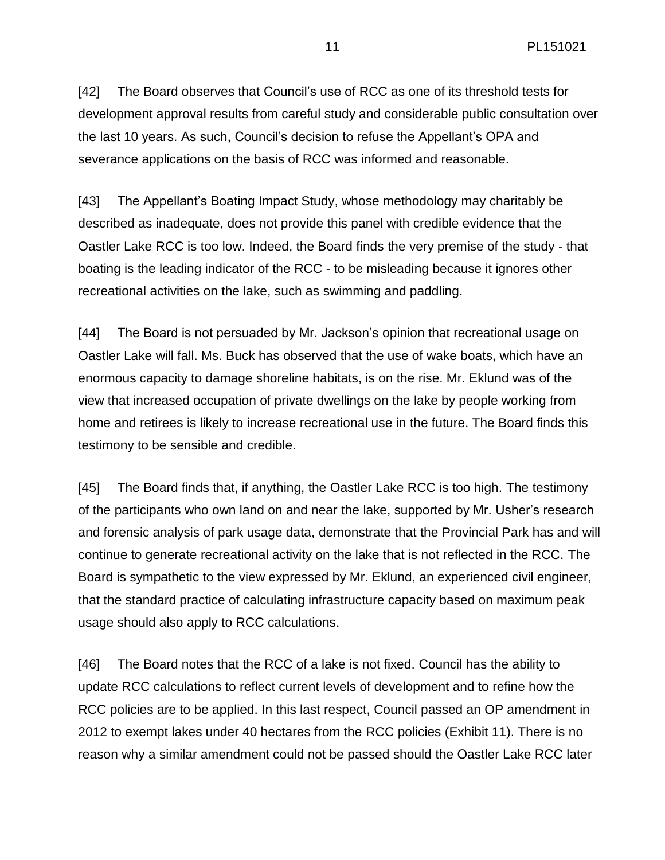[42] The Board observes that Council's use of RCC as one of its threshold tests for development approval results from careful study and considerable public consultation over the last 10 years. As such, Council's decision to refuse the Appellant's OPA and severance applications on the basis of RCC was informed and reasonable.

[43] The Appellant's Boating Impact Study, whose methodology may charitably be described as inadequate, does not provide this panel with credible evidence that the Oastler Lake RCC is too low. Indeed, the Board finds the very premise of the study - that boating is the leading indicator of the RCC - to be misleading because it ignores other recreational activities on the lake, such as swimming and paddling.

[44] The Board is not persuaded by Mr. Jackson's opinion that recreational usage on Oastler Lake will fall. Ms. Buck has observed that the use of wake boats, which have an enormous capacity to damage shoreline habitats, is on the rise. Mr. Eklund was of the view that increased occupation of private dwellings on the lake by people working from home and retirees is likely to increase recreational use in the future. The Board finds this testimony to be sensible and credible.

[45] The Board finds that, if anything, the Oastler Lake RCC is too high. The testimony of the participants who own land on and near the lake, supported by Mr. Usher's research and forensic analysis of park usage data, demonstrate that the Provincial Park has and will continue to generate recreational activity on the lake that is not reflected in the RCC. The Board is sympathetic to the view expressed by Mr. Eklund, an experienced civil engineer, that the standard practice of calculating infrastructure capacity based on maximum peak usage should also apply to RCC calculations.

[46] The Board notes that the RCC of a lake is not fixed. Council has the ability to update RCC calculations to reflect current levels of development and to refine how the RCC policies are to be applied. In this last respect, Council passed an OP amendment in 2012 to exempt lakes under 40 hectares from the RCC policies (Exhibit 11). There is no reason why a similar amendment could not be passed should the Oastler Lake RCC later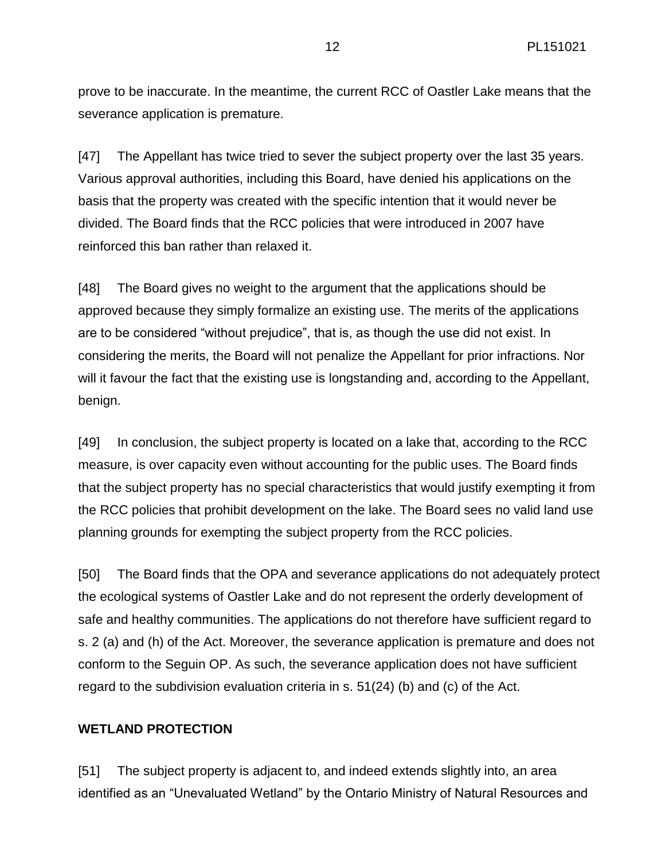prove to be inaccurate. In the meantime, the current RCC of Oastler Lake means that the severance application is premature.

[47] The Appellant has twice tried to sever the subject property over the last 35 years. Various approval authorities, including this Board, have denied his applications on the basis that the property was created with the specific intention that it would never be divided. The Board finds that the RCC policies that were introduced in 2007 have reinforced this ban rather than relaxed it.

[48] The Board gives no weight to the argument that the applications should be approved because they simply formalize an existing use. The merits of the applications are to be considered "without prejudice", that is, as though the use did not exist. In considering the merits, the Board will not penalize the Appellant for prior infractions. Nor will it favour the fact that the existing use is longstanding and, according to the Appellant, benign.

[49] In conclusion, the subject property is located on a lake that, according to the RCC measure, is over capacity even without accounting for the public uses. The Board finds that the subject property has no special characteristics that would justify exempting it from the RCC policies that prohibit development on the lake. The Board sees no valid land use planning grounds for exempting the subject property from the RCC policies.

[50] The Board finds that the OPA and severance applications do not adequately protect the ecological systems of Oastler Lake and do not represent the orderly development of safe and healthy communities. The applications do not therefore have sufficient regard to s. 2 (a) and (h) of the Act. Moreover, the severance application is premature and does not conform to the Seguin OP. As such, the severance application does not have sufficient regard to the subdivision evaluation criteria in s. 51(24) (b) and (c) of the Act.

### **WETLAND PROTECTION**

[51] The subject property is adjacent to, and indeed extends slightly into, an area identified as an "Unevaluated Wetland" by the Ontario Ministry of Natural Resources and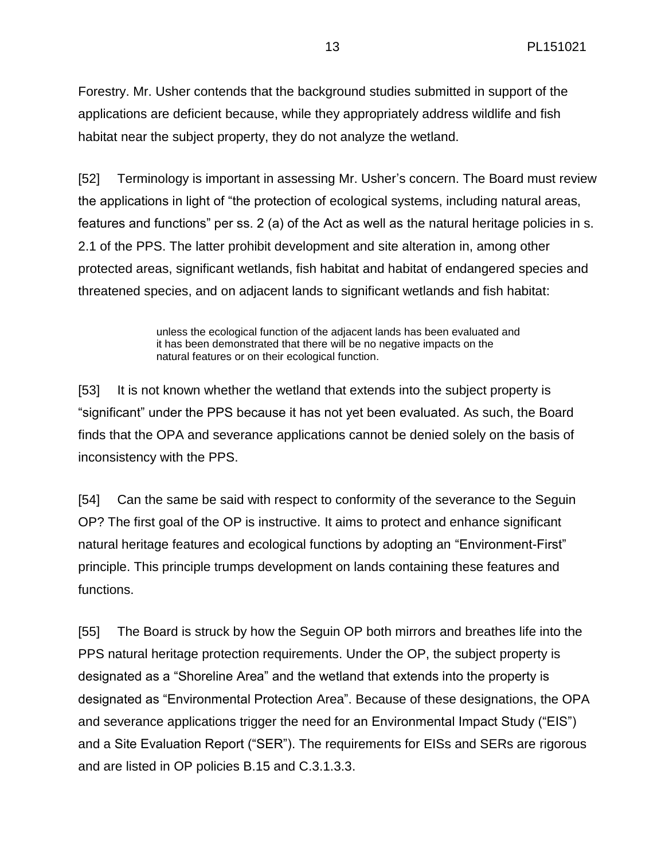Forestry. Mr. Usher contends that the background studies submitted in support of the applications are deficient because, while they appropriately address wildlife and fish habitat near the subject property, they do not analyze the wetland.

[52] Terminology is important in assessing Mr. Usher's concern. The Board must review the applications in light of "the protection of ecological systems, including natural areas, features and functions" per ss. 2 (a) of the Act as well as the natural heritage policies in s. 2.1 of the PPS. The latter prohibit development and site alteration in, among other protected areas, significant wetlands, fish habitat and habitat of endangered species and threatened species, and on adjacent lands to significant wetlands and fish habitat:

> unless the ecological function of the adjacent lands has been evaluated and it has been demonstrated that there will be no negative impacts on the natural features or on their ecological function.

[53] It is not known whether the wetland that extends into the subject property is "significant" under the PPS because it has not yet been evaluated. As such, the Board finds that the OPA and severance applications cannot be denied solely on the basis of inconsistency with the PPS.

[54] Can the same be said with respect to conformity of the severance to the Seguin OP? The first goal of the OP is instructive. It aims to protect and enhance significant natural heritage features and ecological functions by adopting an "Environment-First" principle. This principle trumps development on lands containing these features and functions.

[55] The Board is struck by how the Seguin OP both mirrors and breathes life into the PPS natural heritage protection requirements. Under the OP, the subject property is designated as a "Shoreline Area" and the wetland that extends into the property is designated as "Environmental Protection Area". Because of these designations, the OPA and severance applications trigger the need for an Environmental Impact Study ("EIS") and a Site Evaluation Report ("SER"). The requirements for EISs and SERs are rigorous and are listed in OP policies B.15 and C.3.1.3.3.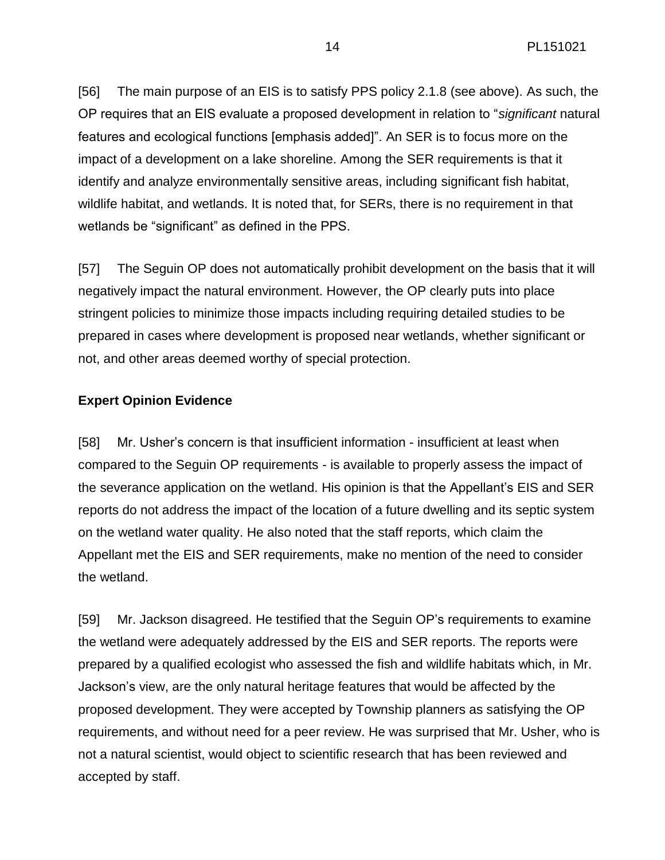[56] The main purpose of an EIS is to satisfy PPS policy 2.1.8 (see above). As such, the OP requires that an EIS evaluate a proposed development in relation to "*significant* natural features and ecological functions [emphasis added]". An SER is to focus more on the impact of a development on a lake shoreline. Among the SER requirements is that it identify and analyze environmentally sensitive areas, including significant fish habitat, wildlife habitat, and wetlands. It is noted that, for SERs, there is no requirement in that wetlands be "significant" as defined in the PPS.

[57] The Seguin OP does not automatically prohibit development on the basis that it will negatively impact the natural environment. However, the OP clearly puts into place stringent policies to minimize those impacts including requiring detailed studies to be prepared in cases where development is proposed near wetlands, whether significant or not, and other areas deemed worthy of special protection.

### **Expert Opinion Evidence**

[58] Mr. Usher's concern is that insufficient information - insufficient at least when compared to the Seguin OP requirements - is available to properly assess the impact of the severance application on the wetland. His opinion is that the Appellant's EIS and SER reports do not address the impact of the location of a future dwelling and its septic system on the wetland water quality. He also noted that the staff reports, which claim the Appellant met the EIS and SER requirements, make no mention of the need to consider the wetland.

[59] Mr. Jackson disagreed. He testified that the Seguin OP's requirements to examine the wetland were adequately addressed by the EIS and SER reports. The reports were prepared by a qualified ecologist who assessed the fish and wildlife habitats which, in Mr. Jackson's view, are the only natural heritage features that would be affected by the proposed development. They were accepted by Township planners as satisfying the OP requirements, and without need for a peer review. He was surprised that Mr. Usher, who is not a natural scientist, would object to scientific research that has been reviewed and accepted by staff.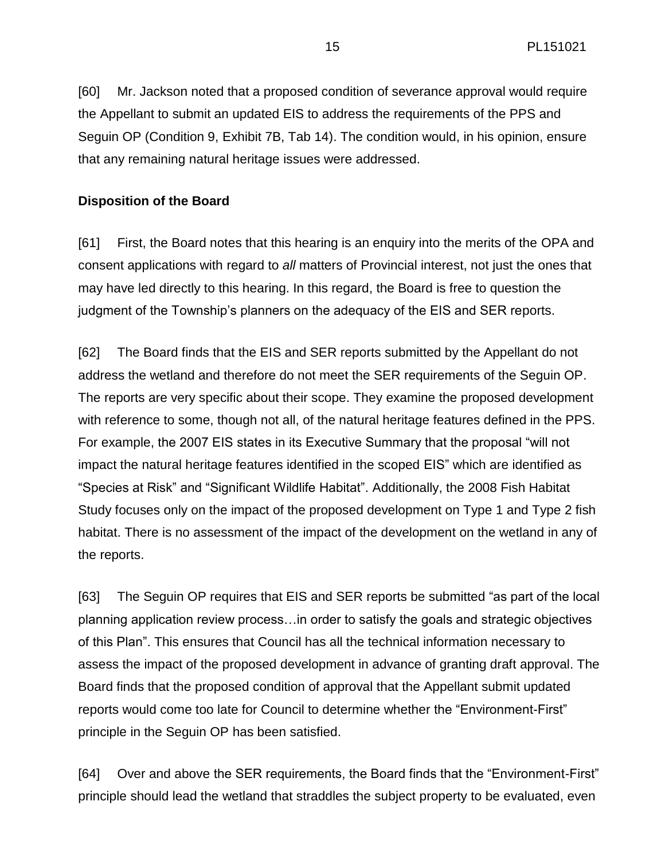[60] Mr. Jackson noted that a proposed condition of severance approval would require the Appellant to submit an updated EIS to address the requirements of the PPS and Seguin OP (Condition 9, Exhibit 7B, Tab 14). The condition would, in his opinion, ensure that any remaining natural heritage issues were addressed.

### **Disposition of the Board**

[61] First, the Board notes that this hearing is an enquiry into the merits of the OPA and consent applications with regard to *all* matters of Provincial interest, not just the ones that may have led directly to this hearing. In this regard, the Board is free to question the judgment of the Township's planners on the adequacy of the EIS and SER reports.

[62] The Board finds that the EIS and SER reports submitted by the Appellant do not address the wetland and therefore do not meet the SER requirements of the Seguin OP. The reports are very specific about their scope. They examine the proposed development with reference to some, though not all, of the natural heritage features defined in the PPS. For example, the 2007 EIS states in its Executive Summary that the proposal "will not impact the natural heritage features identified in the scoped EIS" which are identified as "Species at Risk" and "Significant Wildlife Habitat". Additionally, the 2008 Fish Habitat Study focuses only on the impact of the proposed development on Type 1 and Type 2 fish habitat. There is no assessment of the impact of the development on the wetland in any of the reports.

[63] The Seguin OP requires that EIS and SER reports be submitted "as part of the local planning application review process…in order to satisfy the goals and strategic objectives of this Plan". This ensures that Council has all the technical information necessary to assess the impact of the proposed development in advance of granting draft approval. The Board finds that the proposed condition of approval that the Appellant submit updated reports would come too late for Council to determine whether the "Environment-First" principle in the Seguin OP has been satisfied.

[64] Over and above the SER requirements, the Board finds that the "Environment-First" principle should lead the wetland that straddles the subject property to be evaluated, even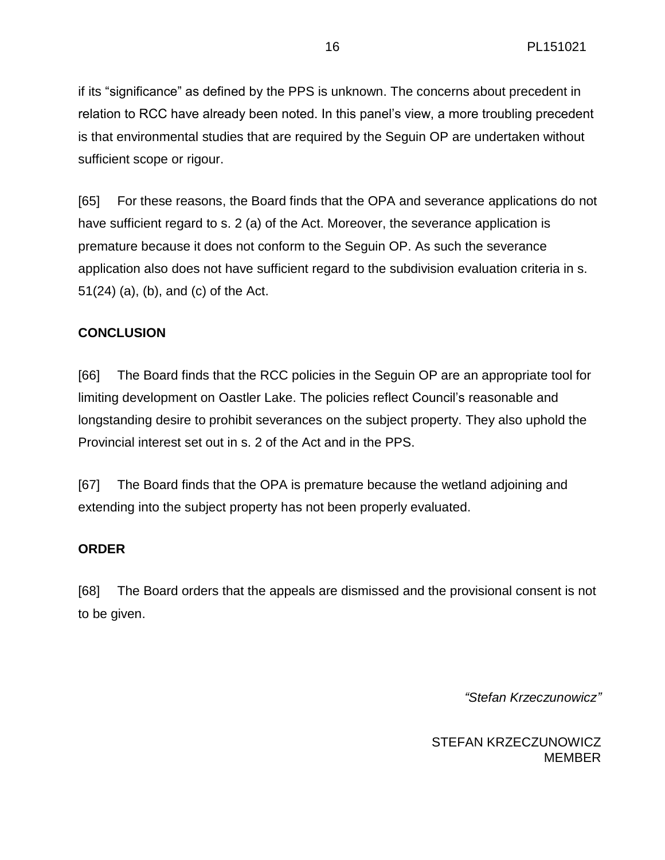if its "significance" as defined by the PPS is unknown. The concerns about precedent in relation to RCC have already been noted. In this panel's view, a more troubling precedent is that environmental studies that are required by the Seguin OP are undertaken without sufficient scope or rigour.

[65] For these reasons, the Board finds that the OPA and severance applications do not have sufficient regard to s. 2 (a) of the Act. Moreover, the severance application is premature because it does not conform to the Seguin OP. As such the severance application also does not have sufficient regard to the subdivision evaluation criteria in s. 51(24) (a), (b), and (c) of the Act.

### **CONCLUSION**

[66] The Board finds that the RCC policies in the Seguin OP are an appropriate tool for limiting development on Oastler Lake. The policies reflect Council's reasonable and longstanding desire to prohibit severances on the subject property. They also uphold the Provincial interest set out in s. 2 of the Act and in the PPS.

[67] The Board finds that the OPA is premature because the wetland adjoining and extending into the subject property has not been properly evaluated.

### **ORDER**

[68] The Board orders that the appeals are dismissed and the provisional consent is not to be given.

*"Stefan Krzeczunowicz"*

STEFAN KRZECZUNOWICZ MEMBER